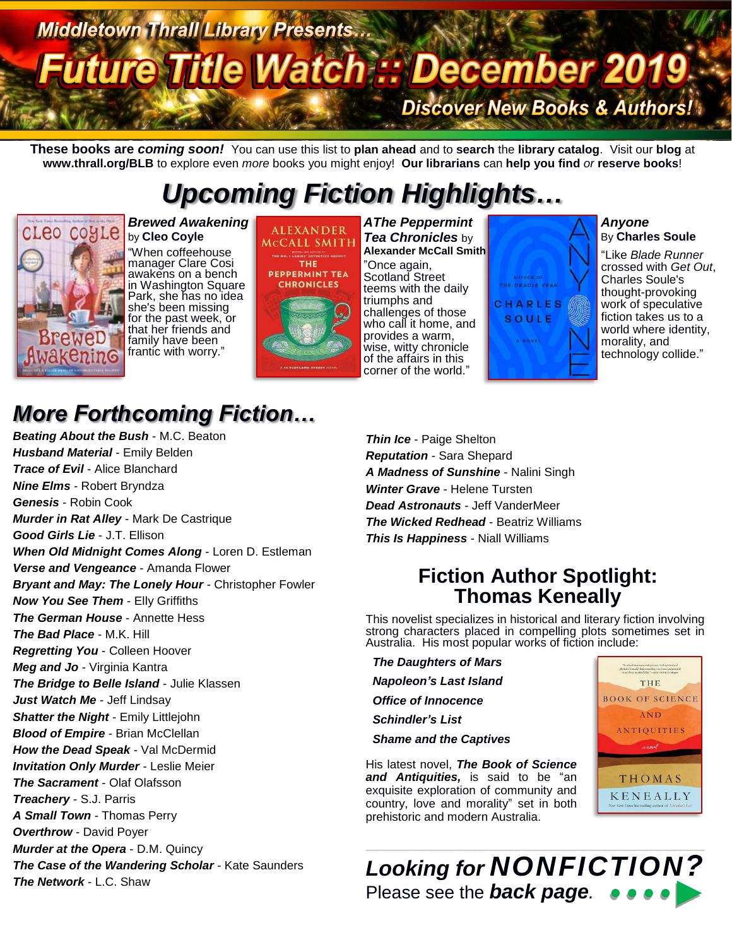# Middletown Thrall Library Presents...<br>Future Title Watch :: December 2019. **Discover New Books & Authors!**

**These books are** *coming soon!* You can use this list to **plan ahead** and to **search** the **library catalog**. Visit our **blog** at **www.thrall.org/BLB** to explore even *more* books you might enjoy! **Our librarians** can **help you find** *or* **reserve books**!

## *Upcoming Fiction Highlights…*



*Brewed Awakening* by **Cleo Coyle** "When coffeehouse manager Clare Cosi awakens on a bench in Washington Square Park, she has no idea she's been missing for the past week, or that her friends and family have been frantic with worry."



*AThe Peppermint Tea Chronicles* by **Alexander McCall Smith**

"Once again, Scotland Street teems with the daily triumphs and challenges of those who call it home, and provides a warm, wise, witty chronicle of the affairs in this corner of the world."



*Anyone* By **Charles Soule**

"Like *Blade Runner*  crossed with *Get Out*, Charles Soule's thought-provoking work of speculative fiction takes us to a world where identity, morality, and technology collide."

## *More Forthcoming Fiction…*

*Beating About the Bush* - M.C. Beaton *Husband Material* - Emily Belden *Trace of Evil* - Alice Blanchard *Nine Elms* - Robert Bryndza *Genesis* - Robin Cook *Murder in Rat Alley* - Mark De Castrique *Good Girls Lie* - J.T. Ellison *When Old Midnight Comes Along* - Loren D. Estleman *Verse and Vengeance* - Amanda Flower *Bryant and May: The Lonely Hour* - Christopher Fowler *Now You See Them* - Elly Griffiths *The German House* - Annette Hess *The Bad Place* - M.K. Hill *Regretting You* - Colleen Hoover *Meg and Jo* - Virginia Kantra *The Bridge to Belle Island* - Julie Klassen *Just Watch Me* - Jeff Lindsay *Shatter the Night* - Emily Littlejohn **Blood of Empire** - Brian McClellan *How the Dead Speak* - Val McDermid *Invitation Only Murder* - Leslie Meier *The Sacrament* - Olaf Olafsson *Treachery* - S.J. Parris *A Small Town* - Thomas Perry *Overthrow* - David Poyer *Murder at the Opera* - D.M. Quincy *The Case of the Wandering Scholar* - Kate Saunders *The Network* - L.C. Shaw

*Thin Ice* - Paige Shelton *Reputation* - Sara Shepard *A Madness of Sunshine* - Nalini Singh *Winter Grave* - Helene Tursten *Dead Astronauts* - Jeff VanderMeer *The Wicked Redhead* - Beatriz Williams *This Is Happiness* - Niall Williams

### **Fiction Author Spotlight: Thomas Keneally**

This novelist specializes in historical and literary fiction involving strong characters placed in compelling plots sometimes set in Australia. His most popular works of fiction include:

*The Daughters of Mars Napoleon's Last Island Office of Innocence*

*Schindler's List*

*Shame and the Captives*

His latest novel, *The Book of Science and Antiquities,* is said to be "an exquisite exploration of community and country, love and morality" set in both prehistoric and modern Australia.



*Looking for NONFICTION?* Please see the *back page.*

 $\_$  ,  $\_$  ,  $\_$  ,  $\_$  ,  $\_$  ,  $\_$  ,  $\_$  ,  $\_$  ,  $\_$  ,  $\_$  ,  $\_$  ,  $\_$  ,  $\_$  ,  $\_$  ,  $\_$  ,  $\_$  ,  $\_$  ,  $\_$  ,  $\_$  ,  $\_$  ,  $\_$  ,  $\_$  ,  $\_$  ,  $\_$  ,  $\_$  ,  $\_$  ,  $\_$  ,  $\_$  ,  $\_$  ,  $\_$  ,  $\_$  ,  $\_$  ,  $\_$  ,  $\_$  ,  $\_$  ,  $\_$  ,  $\_$  ,